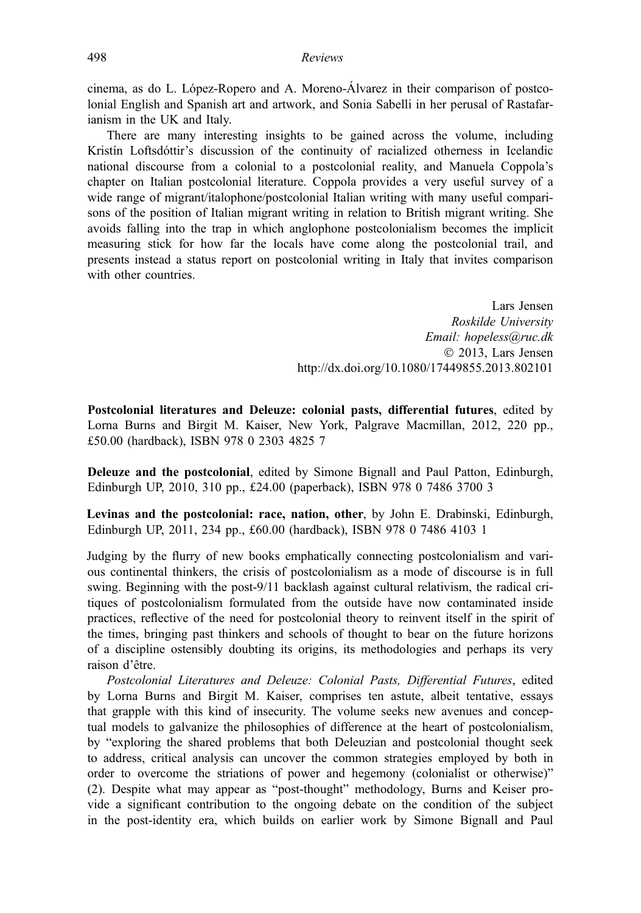cinema, as do L. López-Ropero and A. Moreno-Álvarez in their comparison of postcolonial English and Spanish art and artwork, and Sonia Sabelli in her perusal of Rastafarianism in the UK and Italy.

There are many interesting insights to be gained across the volume, including Kristín Loftsdóttir's discussion of the continuity of racialized otherness in Icelandic national discourse from a colonial to a postcolonial reality, and Manuela Coppola's chapter on Italian postcolonial literature. Coppola provides a very useful survey of a wide range of migrant/italophone/postcolonial Italian writing with many useful comparisons of the position of Italian migrant writing in relation to British migrant writing. She avoids falling into the trap in which anglophone postcolonialism becomes the implicit measuring stick for how far the locals have come along the postcolonial trail, and presents instead a status report on postcolonial writing in Italy that invites comparison with other countries.

> Lars Jensen Roskilde University Email: hopeless@ruc.dk 2013, Lars Jensen http://dx.doi.org/10.1080/17449855.2013.802101

Postcolonial literatures and Deleuze: colonial pasts, differential futures, edited by Lorna Burns and Birgit M. Kaiser, New York, Palgrave Macmillan, 2012, 220 pp., £50.00 (hardback), ISBN 978 0 2303 4825 7

Deleuze and the postcolonial, edited by Simone Bignall and Paul Patton, Edinburgh, Edinburgh UP, 2010, 310 pp., £24.00 (paperback), ISBN 978 0 7486 3700 3

Levinas and the postcolonial: race, nation, other, by John E. Drabinski, Edinburgh, Edinburgh UP, 2011, 234 pp., £60.00 (hardback), ISBN 978 0 7486 4103 1

Judging by the flurry of new books emphatically connecting postcolonialism and various continental thinkers, the crisis of postcolonialism as a mode of discourse is in full swing. Beginning with the post-9/11 backlash against cultural relativism, the radical critiques of postcolonialism formulated from the outside have now contaminated inside practices, reflective of the need for postcolonial theory to reinvent itself in the spirit of the times, bringing past thinkers and schools of thought to bear on the future horizons of a discipline ostensibly doubting its origins, its methodologies and perhaps its very raison d'être.

Postcolonial Literatures and Deleuze: Colonial Pasts, Differential Futures, edited by Lorna Burns and Birgit M. Kaiser, comprises ten astute, albeit tentative, essays that grapple with this kind of insecurity. The volume seeks new avenues and conceptual models to galvanize the philosophies of difference at the heart of postcolonialism, by "exploring the shared problems that both Deleuzian and postcolonial thought seek to address, critical analysis can uncover the common strategies employed by both in order to overcome the striations of power and hegemony (colonialist or otherwise)" (2). Despite what may appear as "post-thought" methodology, Burns and Keiser provide a significant contribution to the ongoing debate on the condition of the subject in the post-identity era, which builds on earlier work by Simone Bignall and Paul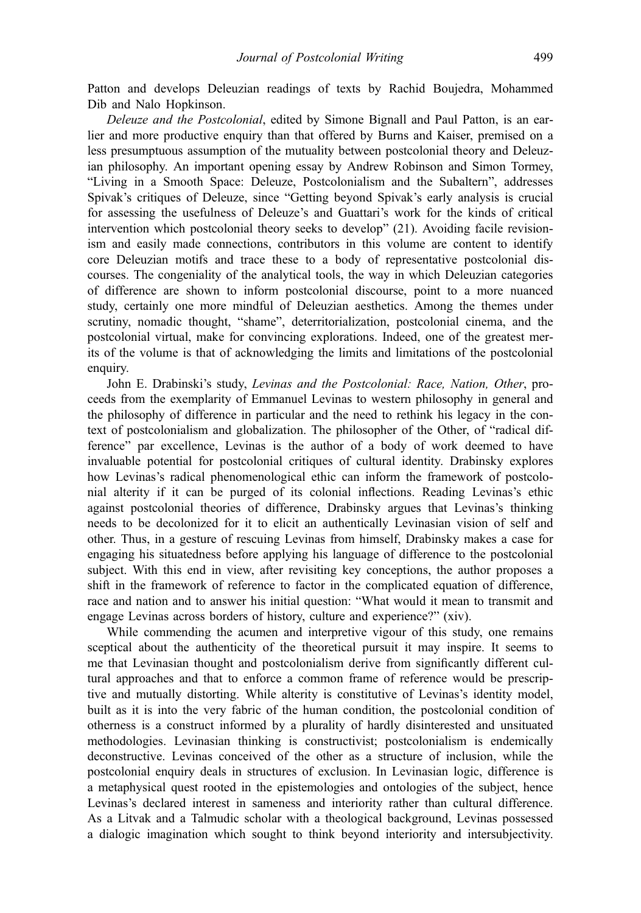Patton and develops Deleuzian readings of texts by Rachid Boujedra, Mohammed Dib and Nalo Hopkinson.

Deleuze and the Postcolonial, edited by Simone Bignall and Paul Patton, is an earlier and more productive enquiry than that offered by Burns and Kaiser, premised on a less presumptuous assumption of the mutuality between postcolonial theory and Deleuzian philosophy. An important opening essay by Andrew Robinson and Simon Tormey, "Living in a Smooth Space: Deleuze, Postcolonialism and the Subaltern", addresses Spivak's critiques of Deleuze, since "Getting beyond Spivak's early analysis is crucial for assessing the usefulness of Deleuze's and Guattari's work for the kinds of critical intervention which postcolonial theory seeks to develop" (21). Avoiding facile revisionism and easily made connections, contributors in this volume are content to identify core Deleuzian motifs and trace these to a body of representative postcolonial discourses. The congeniality of the analytical tools, the way in which Deleuzian categories of difference are shown to inform postcolonial discourse, point to a more nuanced study, certainly one more mindful of Deleuzian aesthetics. Among the themes under scrutiny, nomadic thought, "shame", deterritorialization, postcolonial cinema, and the postcolonial virtual, make for convincing explorations. Indeed, one of the greatest merits of the volume is that of acknowledging the limits and limitations of the postcolonial enquiry.

John E. Drabinski's study, Levinas and the Postcolonial: Race, Nation, Other, proceeds from the exemplarity of Emmanuel Levinas to western philosophy in general and the philosophy of difference in particular and the need to rethink his legacy in the context of postcolonialism and globalization. The philosopher of the Other, of "radical difference" par excellence, Levinas is the author of a body of work deemed to have invaluable potential for postcolonial critiques of cultural identity. Drabinsky explores how Levinas's radical phenomenological ethic can inform the framework of postcolonial alterity if it can be purged of its colonial inflections. Reading Levinas's ethic against postcolonial theories of difference, Drabinsky argues that Levinas's thinking needs to be decolonized for it to elicit an authentically Levinasian vision of self and other. Thus, in a gesture of rescuing Levinas from himself, Drabinsky makes a case for engaging his situatedness before applying his language of difference to the postcolonial subject. With this end in view, after revisiting key conceptions, the author proposes a shift in the framework of reference to factor in the complicated equation of difference, race and nation and to answer his initial question: "What would it mean to transmit and engage Levinas across borders of history, culture and experience?" (xiv).

While commending the acumen and interpretive vigour of this study, one remains sceptical about the authenticity of the theoretical pursuit it may inspire. It seems to me that Levinasian thought and postcolonialism derive from significantly different cultural approaches and that to enforce a common frame of reference would be prescriptive and mutually distorting. While alterity is constitutive of Levinas's identity model, built as it is into the very fabric of the human condition, the postcolonial condition of otherness is a construct informed by a plurality of hardly disinterested and unsituated methodologies. Levinasian thinking is constructivist; postcolonialism is endemically deconstructive. Levinas conceived of the other as a structure of inclusion, while the postcolonial enquiry deals in structures of exclusion. In Levinasian logic, difference is a metaphysical quest rooted in the epistemologies and ontologies of the subject, hence Levinas's declared interest in sameness and interiority rather than cultural difference. As a Litvak and a Talmudic scholar with a theological background, Levinas possessed a dialogic imagination which sought to think beyond interiority and intersubjectivity.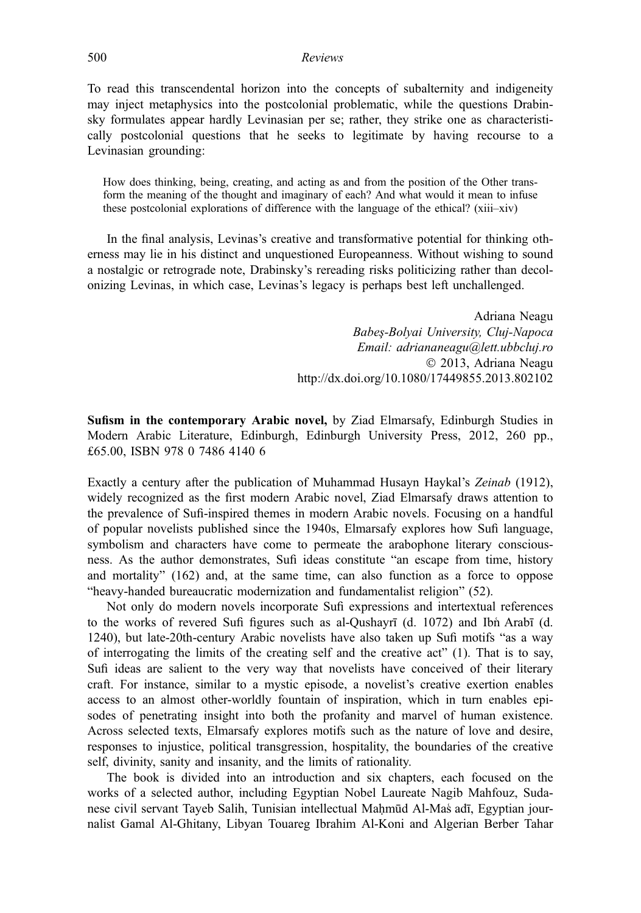## 500 Reviews

To read this transcendental horizon into the concepts of subalternity and indigeneity may inject metaphysics into the postcolonial problematic, while the questions Drabinsky formulates appear hardly Levinasian per se; rather, they strike one as characteristically postcolonial questions that he seeks to legitimate by having recourse to a Levinasian grounding:

How does thinking, being, creating, and acting as and from the position of the Other transform the meaning of the thought and imaginary of each? And what would it mean to infuse these postcolonial explorations of difference with the language of the ethical? (xiii–xiv)

In the final analysis, Levinas's creative and transformative potential for thinking otherness may lie in his distinct and unquestioned Europeanness. Without wishing to sound a nostalgic or retrograde note, Drabinsky's rereading risks politicizing rather than decolonizing Levinas, in which case, Levinas's legacy is perhaps best left unchallenged.

> Adriana Neagu Babeş-Bolyai University, Cluj-Napoca Email: adriananeagu@lett.ubbcluj.ro 2013, Adriana Neagu http://dx.doi.org/10.1080/17449855.2013.802102

Sufism in the contemporary Arabic novel, by Ziad Elmarsafy, Edinburgh Studies in Modern Arabic Literature, Edinburgh, Edinburgh University Press, 2012, 260 pp., £65.00, ISBN 978 0 7486 4140 6

Exactly a century after the publication of Muhammad Husayn Haykal's Zeinab (1912), widely recognized as the first modern Arabic novel, Ziad Elmarsafy draws attention to the prevalence of Sufi-inspired themes in modern Arabic novels. Focusing on a handful of popular novelists published since the 1940s, Elmarsafy explores how Sufi language, symbolism and characters have come to permeate the arabophone literary consciousness. As the author demonstrates, Sufi ideas constitute "an escape from time, history and mortality" (162) and, at the same time, can also function as a force to oppose "heavy-handed bureaucratic modernization and fundamentalist religion" (52).

Not only do modern novels incorporate Sufi expressions and intertextual references to the works of revered Sufi figures such as al-Qushayrī (d. 1072) and Ibnʿ Arabī (d. 1240), but late-20th-century Arabic novelists have also taken up Sufi motifs "as a way of interrogating the limits of the creating self and the creative act"  $(1)$ . That is to say, Sufi ideas are salient to the very way that novelists have conceived of their literary craft. For instance, similar to a mystic episode, a novelist's creative exertion enables access to an almost other-worldly fountain of inspiration, which in turn enables episodes of penetrating insight into both the profanity and marvel of human existence. Across selected texts, Elmarsafy explores motifs such as the nature of love and desire, responses to injustice, political transgression, hospitality, the boundaries of the creative self, divinity, sanity and insanity, and the limits of rationality.

The book is divided into an introduction and six chapters, each focused on the works of a selected author, including Egyptian Nobel Laureate Nagib Mahfouz, Sudanese civil servant Tayeb Salih, Tunisian intellectual Maḥmūd Al-Masʿ adī, Egyptian journalist Gamal Al-Ghitany, Libyan Touareg Ibrahim Al-Koni and Algerian Berber Tahar